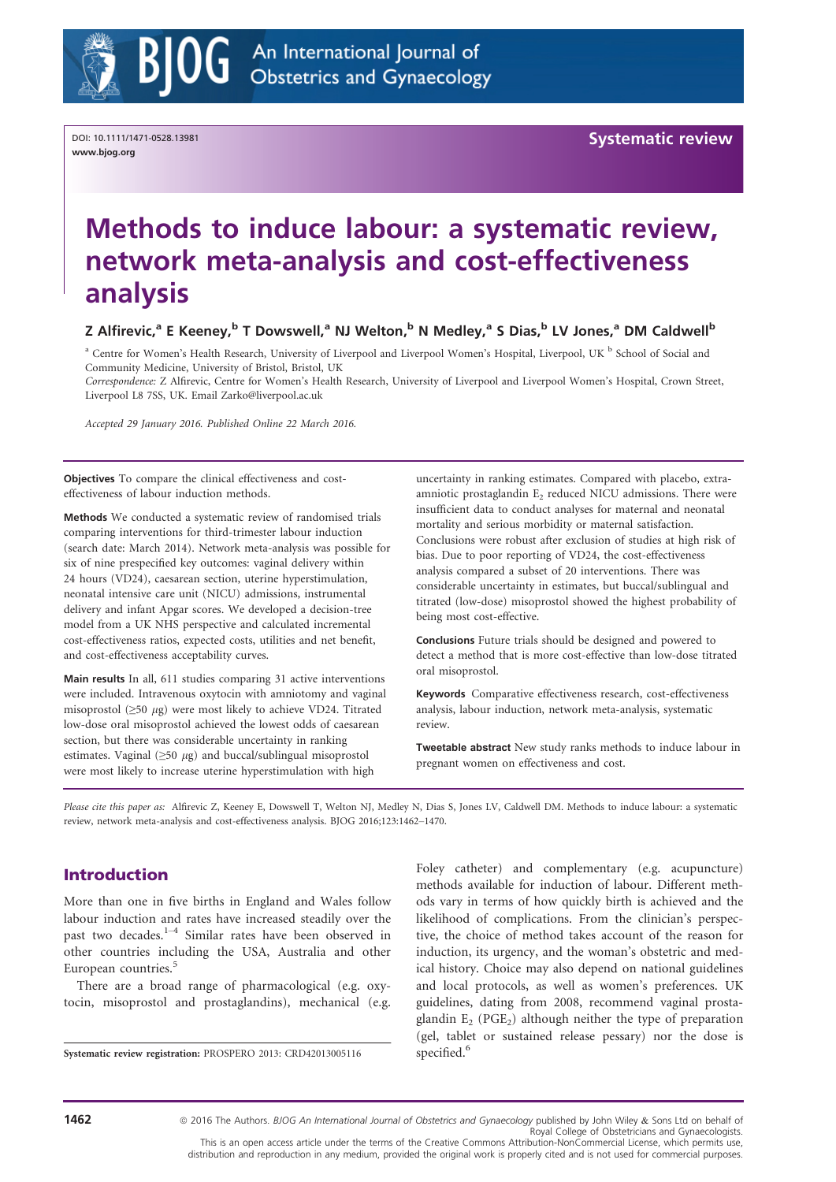

DOI: 10.1111/1471-0528.13981 www.bjog.org

Systematic review

# Methods to induce labour: a systematic review, network meta-analysis and cost-effectiveness analysis

# Z Alfirevic,<sup>a</sup> E Keeney,<sup>b</sup> T Dowswell,<sup>a</sup> NJ Welton,<sup>b</sup> N Medley,<sup>a</sup> S Dias,<sup>b</sup> LV Jones,<sup>a</sup> DM Caldwell<sup>b</sup>

<sup>a</sup> Centre for Women's Health Research, University of Liverpool and Liverpool Women's Hospital, Liverpool, UK <sup>b</sup> School of Social and Community Medicine, University of Bristol, Bristol, UK

Correspondence: Z Alfirevic, Centre for Women's Health Research, University of Liverpool and Liverpool Women's Hospital, Crown Street, Liverpool L8 7SS, UK. Email Zarko@liverpool.ac.uk

Accepted 29 January 2016. Published Online 22 March 2016.

Objectives To compare the clinical effectiveness and costeffectiveness of labour induction methods.

Methods We conducted a systematic review of randomised trials comparing interventions for third-trimester labour induction (search date: March 2014). Network meta-analysis was possible for six of nine prespecified key outcomes: vaginal delivery within 24 hours (VD24), caesarean section, uterine hyperstimulation, neonatal intensive care unit (NICU) admissions, instrumental delivery and infant Apgar scores. We developed a decision-tree model from a UK NHS perspective and calculated incremental cost-effectiveness ratios, expected costs, utilities and net benefit, and cost-effectiveness acceptability curves.

Main results In all, 611 studies comparing 31 active interventions were included. Intravenous oxytocin with amniotomy and vaginal misoprostol ( $\geq$ 50  $\mu$ g) were most likely to achieve VD24. Titrated low-dose oral misoprostol achieved the lowest odds of caesarean section, but there was considerable uncertainty in ranking estimates. Vaginal  $(\geq 50 \ \mu g)$  and buccal/sublingual misoprostol were most likely to increase uterine hyperstimulation with high

uncertainty in ranking estimates. Compared with placebo, extraamniotic prostaglandin  $E_2$  reduced NICU admissions. There were insufficient data to conduct analyses for maternal and neonatal mortality and serious morbidity or maternal satisfaction. Conclusions were robust after exclusion of studies at high risk of bias. Due to poor reporting of VD24, the cost-effectiveness analysis compared a subset of 20 interventions. There was considerable uncertainty in estimates, but buccal/sublingual and titrated (low-dose) misoprostol showed the highest probability of being most cost-effective.

Conclusions Future trials should be designed and powered to detect a method that is more cost-effective than low-dose titrated oral misoprostol.

Keywords Comparative effectiveness research, cost-effectiveness analysis, labour induction, network meta-analysis, systematic review.

Tweetable abstract New study ranks methods to induce labour in pregnant women on effectiveness and cost.

Please cite this paper as: Alfirevic Z, Keeney E, Dowswell T, Welton NJ, Medley N, Dias S, Jones LV, Caldwell DM. Methods to induce labour: a systematic review, network meta-analysis and cost-effectiveness analysis. BJOG 2016;123:1462–1470.

# Introduction

More than one in five births in England and Wales follow labour induction and rates have increased steadily over the past two decades.1–<sup>4</sup> Similar rates have been observed in other countries including the USA, Australia and other European countries.<sup>5</sup>

There are a broad range of pharmacological (e.g. oxytocin, misoprostol and prostaglandins), mechanical (e.g.

Systematic review registration: PROSPERO 2013: CRD42013005116 specified.<sup>6</sup>

Foley catheter) and complementary (e.g. acupuncture) methods available for induction of labour. Different methods vary in terms of how quickly birth is achieved and the likelihood of complications. From the clinician's perspective, the choice of method takes account of the reason for induction, its urgency, and the woman's obstetric and medical history. Choice may also depend on national guidelines and local protocols, as well as women's preferences. UK guidelines, dating from 2008, recommend vaginal prostaglandin  $E_2$  (PGE<sub>2</sub>) although neither the type of preparation (gel, tablet or sustained release pessary) nor the dose is

<sup>1462</sup> **2016 The Authors. BJOG An International Journal of Obstetrics and Gynaecology published by John Wiley & Sons Ltd on behalf of** Royal College of Obstetricians and Gynaecologists.

This is an open access article under the terms of the Creative Commons Attribution-NonCommercial License, which permits use, distribution and reproduction in any medium, provided the original work is properly cited and is not used for commercial purposes.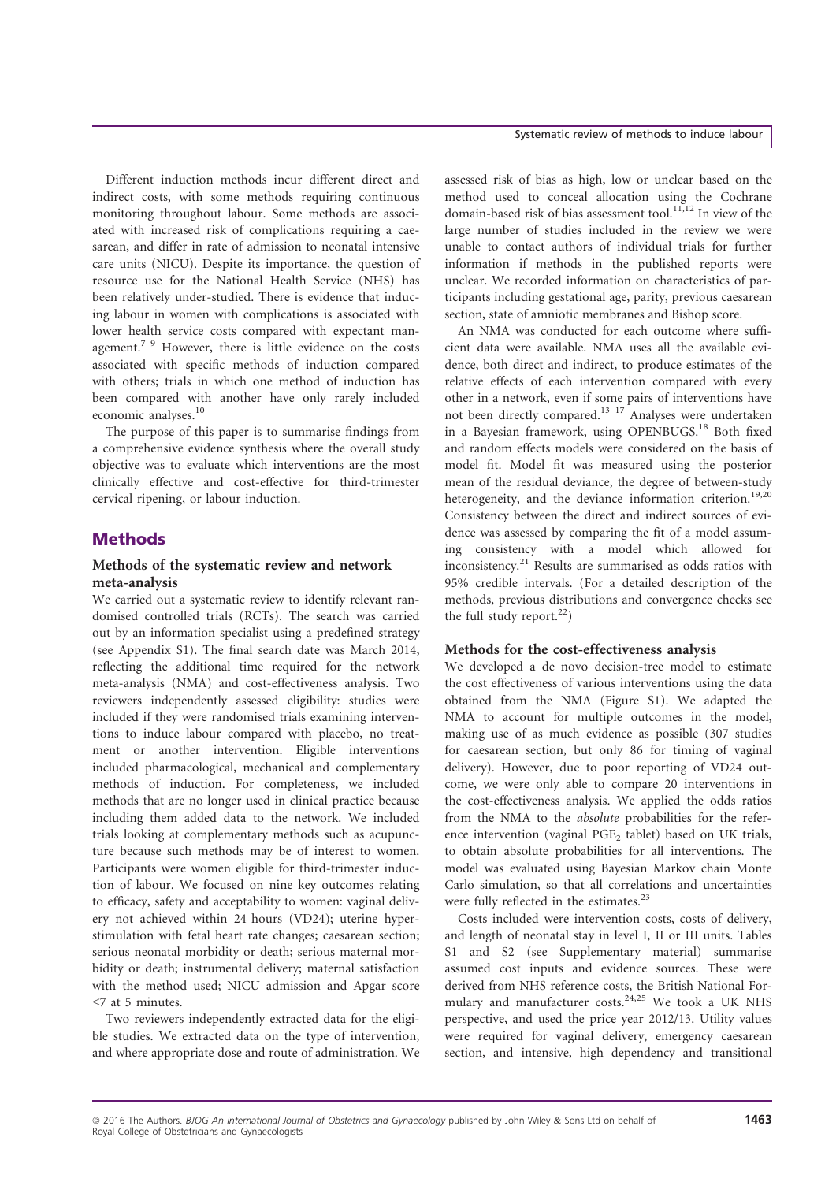Different induction methods incur different direct and indirect costs, with some methods requiring continuous monitoring throughout labour. Some methods are associated with increased risk of complications requiring a caesarean, and differ in rate of admission to neonatal intensive care units (NICU). Despite its importance, the question of resource use for the National Health Service (NHS) has been relatively under-studied. There is evidence that inducing labour in women with complications is associated with lower health service costs compared with expectant management.<sup> $7-9$ </sup> However, there is little evidence on the costs associated with specific methods of induction compared with others; trials in which one method of induction has been compared with another have only rarely included economic analyses.<sup>10</sup>

The purpose of this paper is to summarise findings from a comprehensive evidence synthesis where the overall study objective was to evaluate which interventions are the most clinically effective and cost-effective for third-trimester cervical ripening, or labour induction.

# **Methods**

# Methods of the systematic review and network meta-analysis

We carried out a systematic review to identify relevant randomised controlled trials (RCTs). The search was carried out by an information specialist using a predefined strategy (see Appendix S1). The final search date was March 2014, reflecting the additional time required for the network meta-analysis (NMA) and cost-effectiveness analysis. Two reviewers independently assessed eligibility: studies were included if they were randomised trials examining interventions to induce labour compared with placebo, no treatment or another intervention. Eligible interventions included pharmacological, mechanical and complementary methods of induction. For completeness, we included methods that are no longer used in clinical practice because including them added data to the network. We included trials looking at complementary methods such as acupuncture because such methods may be of interest to women. Participants were women eligible for third-trimester induction of labour. We focused on nine key outcomes relating to efficacy, safety and acceptability to women: vaginal delivery not achieved within 24 hours (VD24); uterine hyperstimulation with fetal heart rate changes; caesarean section; serious neonatal morbidity or death; serious maternal morbidity or death; instrumental delivery; maternal satisfaction with the method used; NICU admission and Apgar score <7 at 5 minutes.

Two reviewers independently extracted data for the eligible studies. We extracted data on the type of intervention, and where appropriate dose and route of administration. We

assessed risk of bias as high, low or unclear based on the method used to conceal allocation using the Cochrane domain-based risk of bias assessment tool.11,12 In view of the large number of studies included in the review we were unable to contact authors of individual trials for further information if methods in the published reports were unclear. We recorded information on characteristics of participants including gestational age, parity, previous caesarean section, state of amniotic membranes and Bishop score.

An NMA was conducted for each outcome where sufficient data were available. NMA uses all the available evidence, both direct and indirect, to produce estimates of the relative effects of each intervention compared with every other in a network, even if some pairs of interventions have not been directly compared.<sup>13–17</sup> Analyses were undertaken in a Bayesian framework, using OPENBUGS.<sup>18</sup> Both fixed and random effects models were considered on the basis of model fit. Model fit was measured using the posterior mean of the residual deviance, the degree of between-study heterogeneity, and the deviance information criterion.<sup>19,20</sup> Consistency between the direct and indirect sources of evidence was assessed by comparing the fit of a model assuming consistency with a model which allowed for inconsistency.<sup>21</sup> Results are summarised as odds ratios with 95% credible intervals. (For a detailed description of the methods, previous distributions and convergence checks see the full study report.<sup>22</sup>)

## Methods for the cost-effectiveness analysis

We developed a de novo decision-tree model to estimate the cost effectiveness of various interventions using the data obtained from the NMA (Figure S1). We adapted the NMA to account for multiple outcomes in the model, making use of as much evidence as possible (307 studies for caesarean section, but only 86 for timing of vaginal delivery). However, due to poor reporting of VD24 outcome, we were only able to compare 20 interventions in the cost-effectiveness analysis. We applied the odds ratios from the NMA to the absolute probabilities for the reference intervention (vaginal  $PGE_2$  tablet) based on UK trials, to obtain absolute probabilities for all interventions. The model was evaluated using Bayesian Markov chain Monte Carlo simulation, so that all correlations and uncertainties were fully reflected in the estimates. $^{23}$ 

Costs included were intervention costs, costs of delivery, and length of neonatal stay in level I, II or III units. Tables S1 and S2 (see Supplementary material) summarise assumed cost inputs and evidence sources. These were derived from NHS reference costs, the British National Formulary and manufacturer costs.<sup>24,25</sup> We took a UK NHS perspective, and used the price year 2012/13. Utility values were required for vaginal delivery, emergency caesarean section, and intensive, high dependency and transitional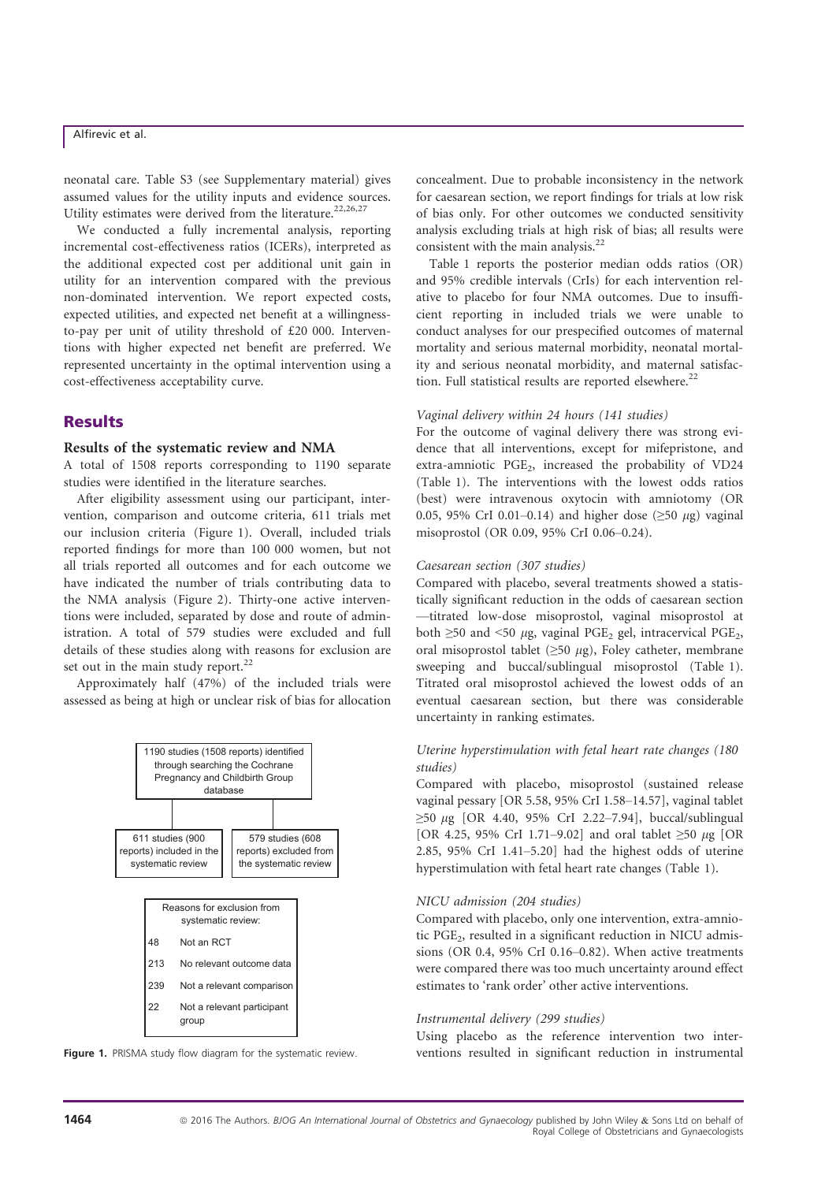neonatal care. Table S3 (see Supplementary material) gives assumed values for the utility inputs and evidence sources. Utility estimates were derived from the literature.<sup>22,26,27</sup>

We conducted a fully incremental analysis, reporting incremental cost-effectiveness ratios (ICERs), interpreted as the additional expected cost per additional unit gain in utility for an intervention compared with the previous non-dominated intervention. We report expected costs, expected utilities, and expected net benefit at a willingnessto-pay per unit of utility threshold of £20 000. Interventions with higher expected net benefit are preferred. We represented uncertainty in the optimal intervention using a cost-effectiveness acceptability curve.

# **Results**

#### Results of the systematic review and NMA

A total of 1508 reports corresponding to 1190 separate studies were identified in the literature searches.

After eligibility assessment using our participant, intervention, comparison and outcome criteria, 611 trials met our inclusion criteria (Figure 1). Overall, included trials reported findings for more than 100 000 women, but not all trials reported all outcomes and for each outcome we have indicated the number of trials contributing data to the NMA analysis (Figure 2). Thirty-one active interventions were included, separated by dose and route of administration. A total of 579 studies were excluded and full details of these studies along with reasons for exclusion are set out in the main study report.<sup>22</sup>

Approximately half (47%) of the included trials were assessed as being at high or unclear risk of bias for allocation





concealment. Due to probable inconsistency in the network for caesarean section, we report findings for trials at low risk of bias only. For other outcomes we conducted sensitivity analysis excluding trials at high risk of bias; all results were consistent with the main analysis.<sup>22</sup>

Table 1 reports the posterior median odds ratios (OR) and 95% credible intervals (CrIs) for each intervention relative to placebo for four NMA outcomes. Due to insufficient reporting in included trials we were unable to conduct analyses for our prespecified outcomes of maternal mortality and serious maternal morbidity, neonatal mortality and serious neonatal morbidity, and maternal satisfaction. Full statistical results are reported elsewhere. $^{22}$ 

# Vaginal delivery within 24 hours (141 studies)

For the outcome of vaginal delivery there was strong evidence that all interventions, except for mifepristone, and extra-amniotic  $PGE_2$ , increased the probability of VD24 (Table 1). The interventions with the lowest odds ratios (best) were intravenous oxytocin with amniotomy (OR 0.05, 95% CrI 0.01–0.14) and higher dose ( $\geq$ 50  $\mu$ g) vaginal misoprostol (OR 0.09, 95% CrI 0.06–0.24).

#### Caesarean section (307 studies)

Compared with placebo, several treatments showed a statistically significant reduction in the odds of caesarean section —titrated low-dose misoprostol, vaginal misoprostol at both  $\geq$ 50 and <50 µg, vaginal PGE<sub>2</sub> gel, intracervical PGE<sub>2</sub>, oral misoprostol tablet ( $\geq$ 50  $\mu$ g), Foley catheter, membrane sweeping and buccal/sublingual misoprostol (Table 1). Titrated oral misoprostol achieved the lowest odds of an eventual caesarean section, but there was considerable uncertainty in ranking estimates.

# Uterine hyperstimulation with fetal heart rate changes (180 studies)

Compared with placebo, misoprostol (sustained release vaginal pessary [OR 5.58, 95% CrI 1.58–14.57], vaginal tablet  $\geq$ 50 μg [OR 4.40, 95% CrI 2.22–7.94], buccal/sublingual [OR 4.25, 95% CrI 1.71–9.02] and oral tablet  $\geq$ 50  $\mu$ g [OR 2.85, 95% CrI 1.41–5.20] had the highest odds of uterine hyperstimulation with fetal heart rate changes (Table 1).

#### NICU admission (204 studies)

Compared with placebo, only one intervention, extra-amniotic PGE<sub>2</sub>, resulted in a significant reduction in NICU admissions (OR 0.4, 95% CrI 0.16–0.82). When active treatments were compared there was too much uncertainty around effect estimates to 'rank order' other active interventions.

## Instrumental delivery (299 studies)

Using placebo as the reference intervention two interventions resulted in significant reduction in instrumental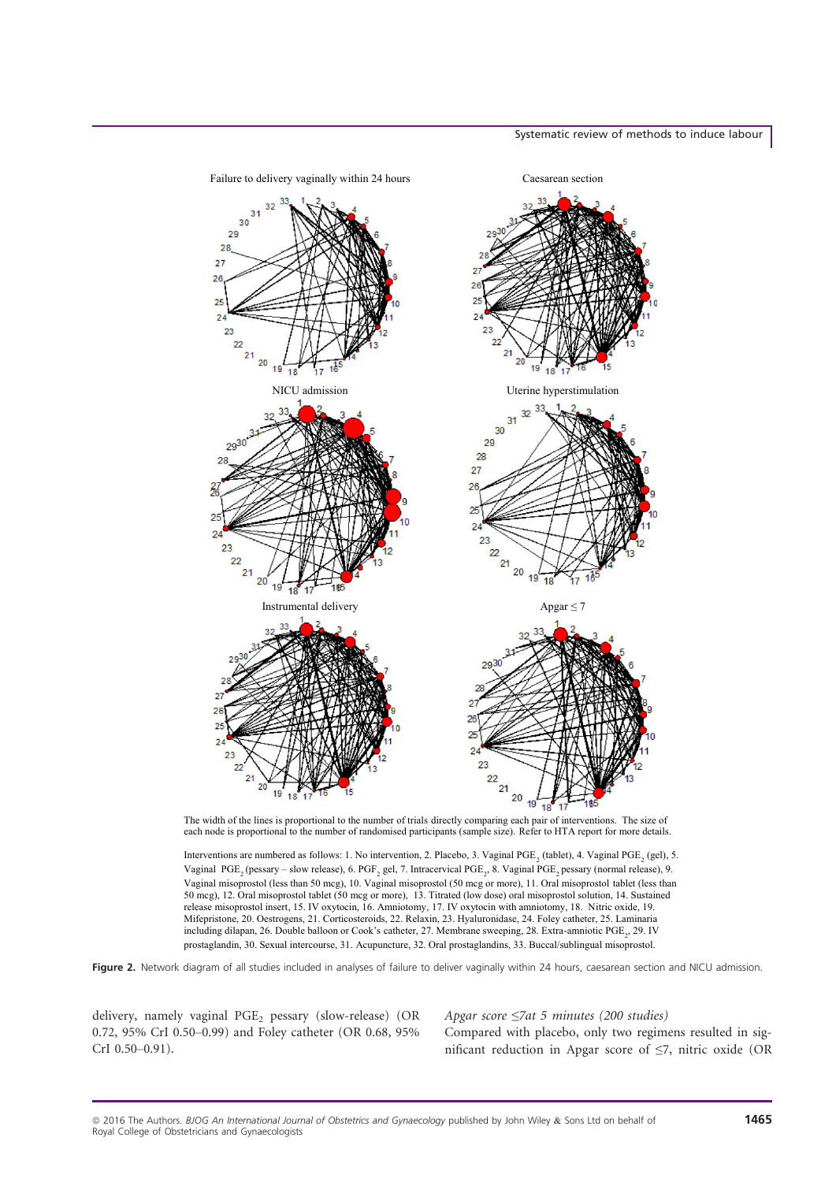

The width of the lines is proportional to the number of trials directly comparing each pair of interventions. The size of each node is proportional to the number of randomised participants (sample size). Refer to HTA report for more details.

Interventions are numbered as follows: 1. No intervention, 2. Placebo, 3. Vaginal PGE<sub>2</sub> (tablet), 4. Vaginal PGE<sub>2</sub> (gel), 5. Vaginal  $PGE_2$  (pessary – slow release), 6. PGF<sub>2</sub> gel, 7. Intracervical  $PGE_2$ , 8. Vaginal  $PGE_2$  pessary (normal release), 9. Vaginal misoprostol (less than 50 mcg), 10. Vaginal misoprostol (50 mcg or more), 11. Oral misoprostol tablet (less than 50 mcg), 12. Oral misoprostol tablet (50 mcg or more), 13. Titrated (low dose) oral misoprostol solution, 14. Sustained release misoprostol insert, 15. IV oxytocin, 16. Amniotomy, 17. IV oxytocin with amniotomy, 18. Nitric oxide, 19. Mifepristone, 20. Oestrogens, 21. Corticosteroids, 22. Relaxin, 23. Hyaluronidase, 24. Foley catheter, 25. Laminaria including dilapan, 26. Double balloon or Cook's catheter, 27. Membrane sweeping, 28. Extra-amniotic PGE<sub>2</sub>, 29. IV prostaglandin, 30. Sexual intercourse, 31. Acupuncture, 32. Oral prostaglandins, 33. Buccal/sublingual misoprostol.

Figure 2. Network diagram of all studies included in analyses of failure to deliver vaginally within 24 hours, caesarean section and NICU admission.

delivery, namely vaginal PGE<sub>2</sub> pessary (slow-release) (OR 0.72, 95% CrI 0.50–0.99) and Foley catheter (OR 0.68, 95% CrI 0.50–0.91).

#### Apgar score ≤7at 5 minutes (200 studies)

Compared with placebo, only two regimens resulted in significant reduction in Apgar score of ≤7, nitric oxide (OR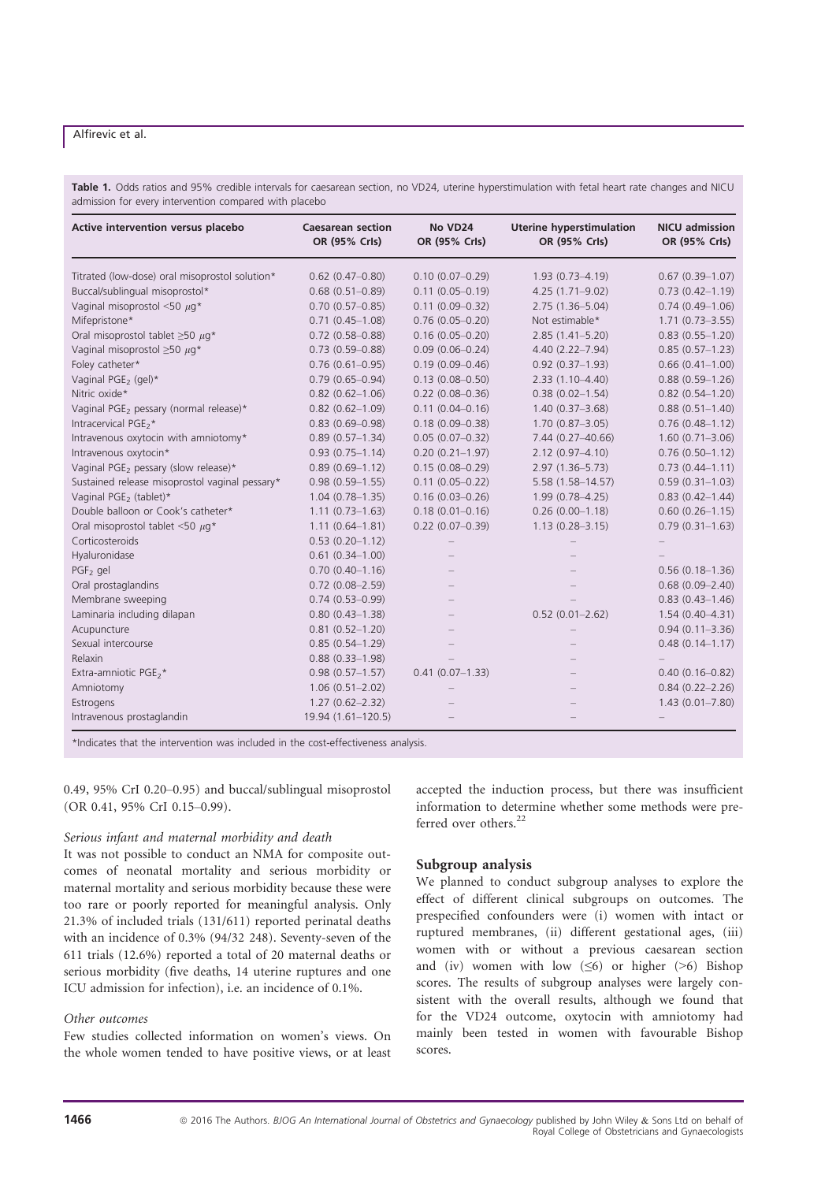Table 1. Odds ratios and 95% credible intervals for caesarean section, no VD24, uterine hyperstimulation with fetal heart rate changes and NICU admission for every intervention compared with placebo

| Active intervention versus placebo                 | <b>Caesarean section</b><br>OR (95% Crls) | No VD24<br>OR (95% Crls) | <b>Uterine hyperstimulation</b><br>OR (95% Crls) | <b>NICU</b> admission<br>OR (95% Crls) |
|----------------------------------------------------|-------------------------------------------|--------------------------|--------------------------------------------------|----------------------------------------|
| Titrated (low-dose) oral misoprostol solution*     | $0.62$ $(0.47 - 0.80)$                    | $0.10(0.07 - 0.29)$      | $1.93(0.73 - 4.19)$                              | $0.67(0.39 - 1.07)$                    |
| Buccal/sublingual misoprostol*                     | $0.68(0.51 - 0.89)$                       | $0.11(0.05 - 0.19)$      | $4.25(1.71 - 9.02)$                              | $0.73(0.42 - 1.19)$                    |
| Vaginal misoprostol <50 $\mu$ g*                   | $0.70(0.57 - 0.85)$                       | $0.11(0.09 - 0.32)$      | $2.75(1.36 - 5.04)$                              | $0.74(0.49 - 1.06)$                    |
| Mifepristone*                                      | $0.71(0.45 - 1.08)$                       | $0.76(0.05 - 0.20)$      | Not estimable*                                   | $1.71(0.73 - 3.55)$                    |
| Oral misoprostol tablet $\geq 50 \mu q^*$          | $0.72(0.58 - 0.88)$                       | $0.16(0.05 - 0.20)$      | $2.85(1.41 - 5.20)$                              | $0.83(0.55 - 1.20)$                    |
| Vaginal misoprostol $\geq 50 \mu q^*$              | $0.73(0.59 - 0.88)$                       | $0.09(0.06 - 0.24)$      | $4.40(2.22 - 7.94)$                              | $0.85(0.57 - 1.23)$                    |
| Foley catheter*                                    | $0.76(0.61 - 0.95)$                       | $0.19(0.09 - 0.46)$      | $0.92(0.37 - 1.93)$                              | $0.66$ $(0.41-1.00)$                   |
| Vaginal PGE <sub>2</sub> (gel)*                    | $0.79(0.65 - 0.94)$                       | $0.13(0.08 - 0.50)$      | $2.33(1.10 - 4.40)$                              | $0.88(0.59 - 1.26)$                    |
| Nitric oxide*                                      | $0.82(0.62 - 1.06)$                       | $0.22(0.08 - 0.36)$      | $0.38(0.02 - 1.54)$                              | $0.82(0.54 - 1.20)$                    |
| Vaginal PGE <sub>2</sub> pessary (normal release)* | $0.82$ $(0.62 - 1.09)$                    | $0.11(0.04 - 0.16)$      | $1.40(0.37 - 3.68)$                              | $0.88(0.51 - 1.40)$                    |
| Intracervical PGE <sub>2</sub> *                   | $0.83(0.69 - 0.98)$                       | $0.18(0.09 - 0.38)$      | $1.70(0.87 - 3.05)$                              | $0.76(0.48 - 1.12)$                    |
| Intravenous oxytocin with amniotomy*               | $0.89(0.57 - 1.34)$                       | $0.05(0.07 - 0.32)$      | 7.44 (0.27-40.66)                                | $1.60(0.71 - 3.06)$                    |
| Intravenous oxytocin*                              | $0.93(0.75 - 1.14)$                       | $0.20(0.21 - 1.97)$      | $2.12(0.97 - 4.10)$                              | $0.76(0.50 - 1.12)$                    |
| Vaginal PGE <sub>2</sub> pessary (slow release)*   | $0.89(0.69 - 1.12)$                       | $0.15(0.08 - 0.29)$      | $2.97(1.36 - 5.73)$                              | $0.73(0.44 - 1.11)$                    |
| Sustained release misoprostol vaginal pessary*     | $0.98(0.59 - 1.55)$                       | $0.11(0.05 - 0.22)$      | 5.58 (1.58-14.57)                                | $0.59(0.31 - 1.03)$                    |
| Vaginal PGE <sub>2</sub> (tablet)*                 | $1.04(0.78 - 1.35)$                       | $0.16(0.03 - 0.26)$      | $1.99(0.78 - 4.25)$                              | $0.83(0.42 - 1.44)$                    |
| Double balloon or Cook's catheter*                 | $1.11(0.73 - 1.63)$                       | $0.18(0.01 - 0.16)$      | $0.26(0.00-1.18)$                                | $0.60(0.26 - 1.15)$                    |
| Oral misoprostol tablet <50 $\mu$ g*               | $1.11(0.64 - 1.81)$                       | $0.22$ (0.07-0.39)       | $1.13(0.28 - 3.15)$                              | $0.79(0.31 - 1.63)$                    |
| Corticosteroids                                    | $0.53(0.20 - 1.12)$                       |                          |                                                  |                                        |
| Hyaluronidase                                      | $0.61(0.34 - 1.00)$                       |                          |                                                  |                                        |
| $PGF2$ gel                                         | $0.70(0.40 - 1.16)$                       |                          |                                                  | $0.56(0.18-1.36)$                      |
| Oral prostaglandins                                | $0.72$ $(0.08 - 2.59)$                    |                          |                                                  | $0.68(0.09 - 2.40)$                    |
| Membrane sweeping                                  | $0.74(0.53 - 0.99)$                       |                          |                                                  | $0.83(0.43 - 1.46)$                    |
| Laminaria including dilapan                        | $0.80(0.43 - 1.38)$                       |                          | $0.52(0.01 - 2.62)$                              | $1.54(0.40 - 4.31)$                    |
| Acupuncture                                        | $0.81(0.52 - 1.20)$                       |                          |                                                  | $0.94(0.11 - 3.36)$                    |
| Sexual intercourse                                 | $0.85(0.54 - 1.29)$                       |                          |                                                  | $0.48(0.14 - 1.17)$                    |
| Relaxin                                            | $0.88(0.33 - 1.98)$                       |                          |                                                  |                                        |
| Extra-amniotic PGE <sub>2</sub> *                  | $0.98(0.57 - 1.57)$                       | $0.41(0.07 - 1.33)$      |                                                  | $0.40(0.16 - 0.82)$                    |
| Amniotomy                                          | $1.06(0.51 - 2.02)$                       |                          |                                                  | $0.84(0.22 - 2.26)$                    |
| Estrogens                                          | $1.27(0.62 - 2.32)$                       |                          |                                                  | $1.43(0.01 - 7.80)$                    |
| Intravenous prostaglandin                          | 19.94 (1.61-120.5)                        |                          |                                                  |                                        |

\*Indicates that the intervention was included in the cost-effectiveness analysis.

0.49, 95% CrI 0.20–0.95) and buccal/sublingual misoprostol (OR 0.41, 95% CrI 0.15–0.99).

# Serious infant and maternal morbidity and death

It was not possible to conduct an NMA for composite outcomes of neonatal mortality and serious morbidity or maternal mortality and serious morbidity because these were too rare or poorly reported for meaningful analysis. Only 21.3% of included trials (131/611) reported perinatal deaths with an incidence of 0.3% (94/32 248). Seventy-seven of the 611 trials (12.6%) reported a total of 20 maternal deaths or serious morbidity (five deaths, 14 uterine ruptures and one ICU admission for infection), i.e. an incidence of 0.1%.

## Other outcomes

Few studies collected information on women's views. On the whole women tended to have positive views, or at least accepted the induction process, but there was insufficient information to determine whether some methods were preferred over others.<sup>22</sup>

## Subgroup analysis

We planned to conduct subgroup analyses to explore the effect of different clinical subgroups on outcomes. The prespecified confounders were (i) women with intact or ruptured membranes, (ii) different gestational ages, (iii) women with or without a previous caesarean section and (iv) women with low  $(\leq 6)$  or higher (>6) Bishop scores. The results of subgroup analyses were largely consistent with the overall results, although we found that for the VD24 outcome, oxytocin with amniotomy had mainly been tested in women with favourable Bishop scores.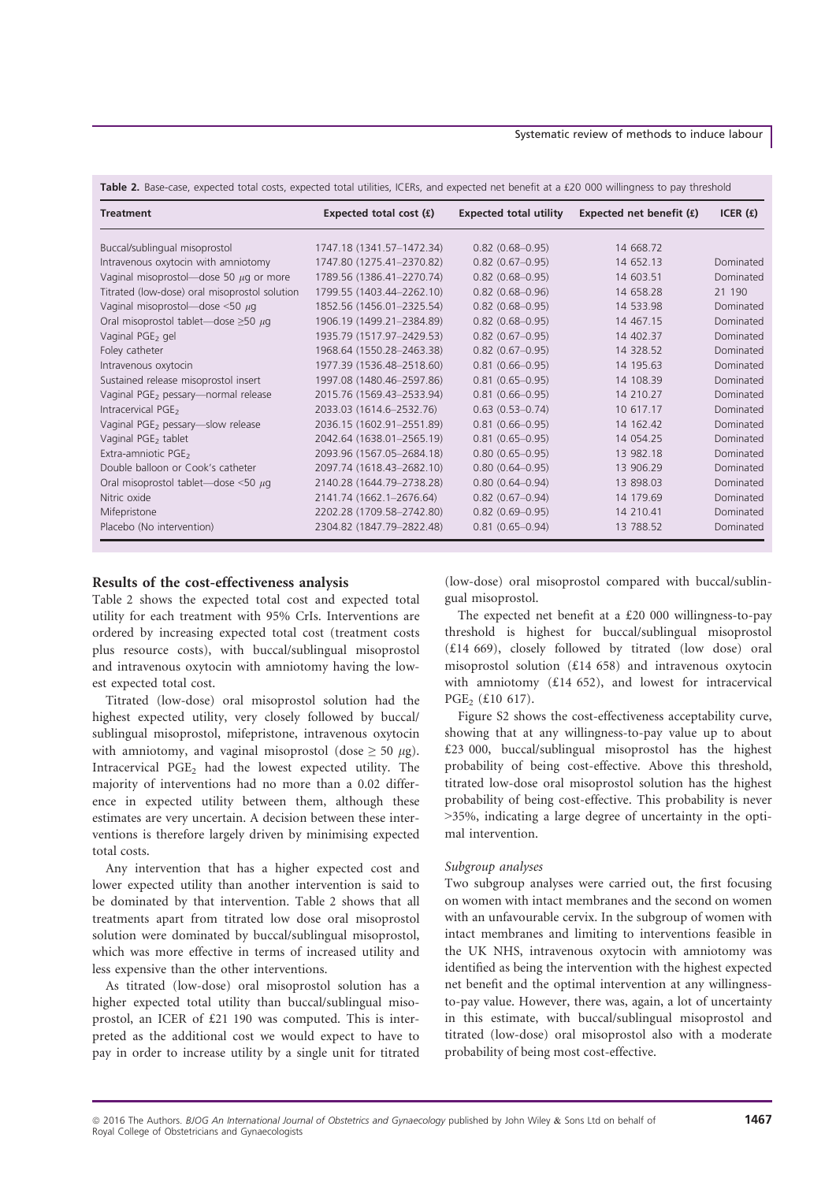#### Systematic review of methods to induce labour

| <b>Treatment</b>                                | Expected total cost $(f)$ | <b>Expected total utility</b> | Expected net benefit $(f)$ | ICER $(f)$ |
|-------------------------------------------------|---------------------------|-------------------------------|----------------------------|------------|
| Buccal/sublingual misoprostol                   | 1747.18 (1341.57-1472.34) | $0.82(0.68 - 0.95)$           | 14 668.72                  |            |
| Intravenous oxytocin with amniotomy             | 1747.80 (1275.41-2370.82) | $0.82(0.67 - 0.95)$           | 14 652.13                  | Dominated  |
| Vaginal misoprostol-dose 50 $\mu$ g or more     | 1789.56 (1386.41-2270.74) | $0.82(0.68 - 0.95)$           | 14 603.51                  | Dominated  |
| Titrated (low-dose) oral misoprostol solution   | 1799.55 (1403.44-2262.10) | $0.82(0.68 - 0.96)$           | 14 658.28                  | 21 190     |
| Vaginal misoprostol-dose <50 $\mu$ g            | 1852.56 (1456.01-2325.54) | $0.82(0.68 - 0.95)$           | 14 533.98                  | Dominated  |
| Oral misoprostol tablet—dose $\geq 50 \mu$ g    | 1906.19 (1499.21-2384.89) | $0.82(0.68 - 0.95)$           | 14 467.15                  | Dominated  |
| Vaginal PGE <sub>2</sub> gel                    | 1935.79 (1517.97-2429.53) | $0.82$ (0.67-0.95)            | 14 402.37                  | Dominated  |
| Foley catheter                                  | 1968.64 (1550.28-2463.38) | $0.82(0.67 - 0.95)$           | 14 328.52                  | Dominated  |
| Intravenous oxytocin                            | 1977.39 (1536.48-2518.60) | $0.81(0.66 - 0.95)$           | 14 195.63                  | Dominated  |
| Sustained release misoprostol insert            | 1997.08 (1480.46-2597.86) | $0.81(0.65 - 0.95)$           | 14 108.39                  | Dominated  |
| Vaginal PGE <sub>2</sub> pessary-normal release | 2015.76 (1569.43-2533.94) | $0.81(0.66 - 0.95)$           | 14 210.27                  | Dominated  |
| Intracervical PGE <sub>2</sub>                  | 2033.03 (1614.6-2532.76)  | $0.63(0.53 - 0.74)$           | 10 617.17                  | Dominated  |
| Vaginal PGE <sub>2</sub> pessary-slow release   | 2036.15 (1602.91-2551.89) | $0.81(0.66 - 0.95)$           | 14 162.42                  | Dominated  |
| Vaginal PGE <sub>2</sub> tablet                 | 2042.64 (1638.01-2565.19) | $0.81(0.65 - 0.95)$           | 14 054.25                  | Dominated  |
| Extra-amniotic PGE <sub>2</sub>                 | 2093.96 (1567.05-2684.18) | $0.80(0.65 - 0.95)$           | 13 982.18                  | Dominated  |
| Double balloon or Cook's catheter               | 2097.74 (1618.43-2682.10) | $0.80(0.64 - 0.95)$           | 13 906.29                  | Dominated  |
| Oral misoprostol tablet—dose <50 $\mu$ g        | 2140.28 (1644.79-2738.28) | $0.80(0.64 - 0.94)$           | 13 898.03                  | Dominated  |
| Nitric oxide                                    | 2141.74 (1662.1-2676.64)  | $0.82(0.67 - 0.94)$           | 14 179.69                  | Dominated  |
| Mifepristone                                    | 2202.28 (1709.58-2742.80) | $0.82(0.69 - 0.95)$           | 14 210.41                  | Dominated  |
| Placebo (No intervention)                       | 2304.82 (1847.79-2822.48) | $0.81(0.65 - 0.94)$           | 13 788.52                  | Dominated  |

Table 2. Base-case, expected total costs, expected total utilities, ICERs, and expected net benefit at a £20 000 willingness to pay threshold

## Results of the cost-effectiveness analysis

Table 2 shows the expected total cost and expected total utility for each treatment with 95% CrIs. Interventions are ordered by increasing expected total cost (treatment costs plus resource costs), with buccal/sublingual misoprostol and intravenous oxytocin with amniotomy having the lowest expected total cost.

Titrated (low-dose) oral misoprostol solution had the highest expected utility, very closely followed by buccal/ sublingual misoprostol, mifepristone, intravenous oxytocin with amniotomy, and vaginal misoprostol (dose  $\geq 50 \mu$ g). Intracervical PGE<sub>2</sub> had the lowest expected utility. The majority of interventions had no more than a 0.02 difference in expected utility between them, although these estimates are very uncertain. A decision between these interventions is therefore largely driven by minimising expected total costs.

Any intervention that has a higher expected cost and lower expected utility than another intervention is said to be dominated by that intervention. Table 2 shows that all treatments apart from titrated low dose oral misoprostol solution were dominated by buccal/sublingual misoprostol, which was more effective in terms of increased utility and less expensive than the other interventions.

As titrated (low-dose) oral misoprostol solution has a higher expected total utility than buccal/sublingual misoprostol, an ICER of £21 190 was computed. This is interpreted as the additional cost we would expect to have to pay in order to increase utility by a single unit for titrated

(low-dose) oral misoprostol compared with buccal/sublingual misoprostol.

The expected net benefit at a £20 000 willingness-to-pay threshold is highest for buccal/sublingual misoprostol (£14 669), closely followed by titrated (low dose) oral misoprostol solution (£14 658) and intravenous oxytocin with amniotomy (£14 652), and lowest for intracervical PGE2 (£10 617).

Figure S2 shows the cost-effectiveness acceptability curve, showing that at any willingness-to-pay value up to about £23 000, buccal/sublingual misoprostol has the highest probability of being cost-effective. Above this threshold, titrated low-dose oral misoprostol solution has the highest probability of being cost-effective. This probability is never >35%, indicating a large degree of uncertainty in the optimal intervention.

#### Subgroup analyses

Two subgroup analyses were carried out, the first focusing on women with intact membranes and the second on women with an unfavourable cervix. In the subgroup of women with intact membranes and limiting to interventions feasible in the UK NHS, intravenous oxytocin with amniotomy was identified as being the intervention with the highest expected net benefit and the optimal intervention at any willingnessto-pay value. However, there was, again, a lot of uncertainty in this estimate, with buccal/sublingual misoprostol and titrated (low-dose) oral misoprostol also with a moderate probability of being most cost-effective.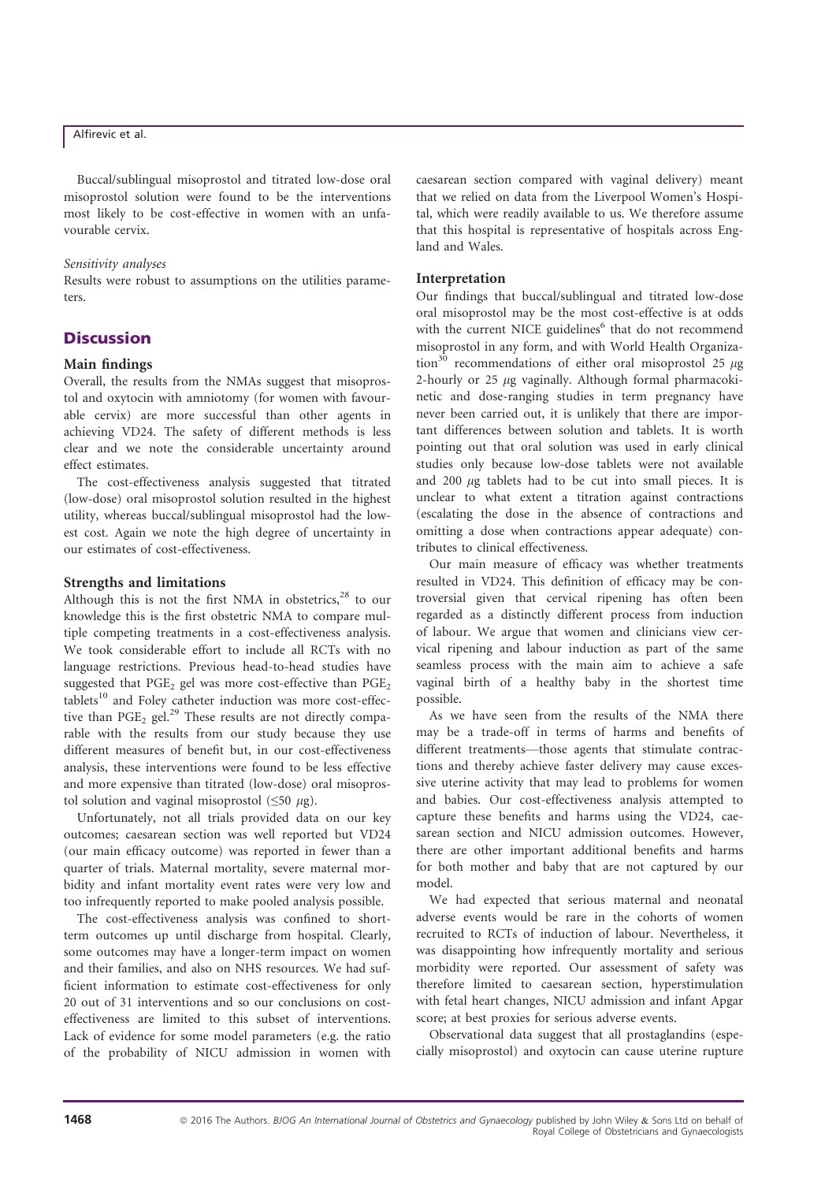Buccal/sublingual misoprostol and titrated low-dose oral misoprostol solution were found to be the interventions most likely to be cost-effective in women with an unfavourable cervix.

## Sensitivity analyses

Results were robust to assumptions on the utilities parameters.

# **Discussion**

# Main findings

Overall, the results from the NMAs suggest that misoprostol and oxytocin with amniotomy (for women with favourable cervix) are more successful than other agents in achieving VD24. The safety of different methods is less clear and we note the considerable uncertainty around effect estimates.

The cost-effectiveness analysis suggested that titrated (low-dose) oral misoprostol solution resulted in the highest utility, whereas buccal/sublingual misoprostol had the lowest cost. Again we note the high degree of uncertainty in our estimates of cost-effectiveness.

# Strengths and limitations

Although this is not the first NMA in obstetrics, $28$  to our knowledge this is the first obstetric NMA to compare multiple competing treatments in a cost-effectiveness analysis. We took considerable effort to include all RCTs with no language restrictions. Previous head-to-head studies have suggested that  $PGE_2$  gel was more cost-effective than  $PGE_2$ tablets<sup>10</sup> and Foley catheter induction was more cost-effective than PGE<sub>2</sub> gel.<sup>29</sup> These results are not directly comparable with the results from our study because they use different measures of benefit but, in our cost-effectiveness analysis, these interventions were found to be less effective and more expensive than titrated (low-dose) oral misoprostol solution and vaginal misoprostol  $(\leq 50 \ \mu g)$ .

Unfortunately, not all trials provided data on our key outcomes; caesarean section was well reported but VD24 (our main efficacy outcome) was reported in fewer than a quarter of trials. Maternal mortality, severe maternal morbidity and infant mortality event rates were very low and too infrequently reported to make pooled analysis possible.

The cost-effectiveness analysis was confined to shortterm outcomes up until discharge from hospital. Clearly, some outcomes may have a longer-term impact on women and their families, and also on NHS resources. We had sufficient information to estimate cost-effectiveness for only 20 out of 31 interventions and so our conclusions on costeffectiveness are limited to this subset of interventions. Lack of evidence for some model parameters (e.g. the ratio of the probability of NICU admission in women with caesarean section compared with vaginal delivery) meant that we relied on data from the Liverpool Women's Hospital, which were readily available to us. We therefore assume that this hospital is representative of hospitals across England and Wales.

## Interpretation

Our findings that buccal/sublingual and titrated low-dose oral misoprostol may be the most cost-effective is at odds with the current NICE guidelines<sup>6</sup> that do not recommend misoprostol in any form, and with World Health Organization<sup>30</sup> recommendations of either oral misoprostol 25  $\mu$ g 2-hourly or 25  $\mu$ g vaginally. Although formal pharmacokinetic and dose-ranging studies in term pregnancy have never been carried out, it is unlikely that there are important differences between solution and tablets. It is worth pointing out that oral solution was used in early clinical studies only because low-dose tablets were not available and 200  $\mu$ g tablets had to be cut into small pieces. It is unclear to what extent a titration against contractions (escalating the dose in the absence of contractions and omitting a dose when contractions appear adequate) contributes to clinical effectiveness.

Our main measure of efficacy was whether treatments resulted in VD24. This definition of efficacy may be controversial given that cervical ripening has often been regarded as a distinctly different process from induction of labour. We argue that women and clinicians view cervical ripening and labour induction as part of the same seamless process with the main aim to achieve a safe vaginal birth of a healthy baby in the shortest time possible.

As we have seen from the results of the NMA there may be a trade-off in terms of harms and benefits of different treatments—those agents that stimulate contractions and thereby achieve faster delivery may cause excessive uterine activity that may lead to problems for women and babies. Our cost-effectiveness analysis attempted to capture these benefits and harms using the VD24, caesarean section and NICU admission outcomes. However, there are other important additional benefits and harms for both mother and baby that are not captured by our model.

We had expected that serious maternal and neonatal adverse events would be rare in the cohorts of women recruited to RCTs of induction of labour. Nevertheless, it was disappointing how infrequently mortality and serious morbidity were reported. Our assessment of safety was therefore limited to caesarean section, hyperstimulation with fetal heart changes, NICU admission and infant Apgar score; at best proxies for serious adverse events.

Observational data suggest that all prostaglandins (especially misoprostol) and oxytocin can cause uterine rupture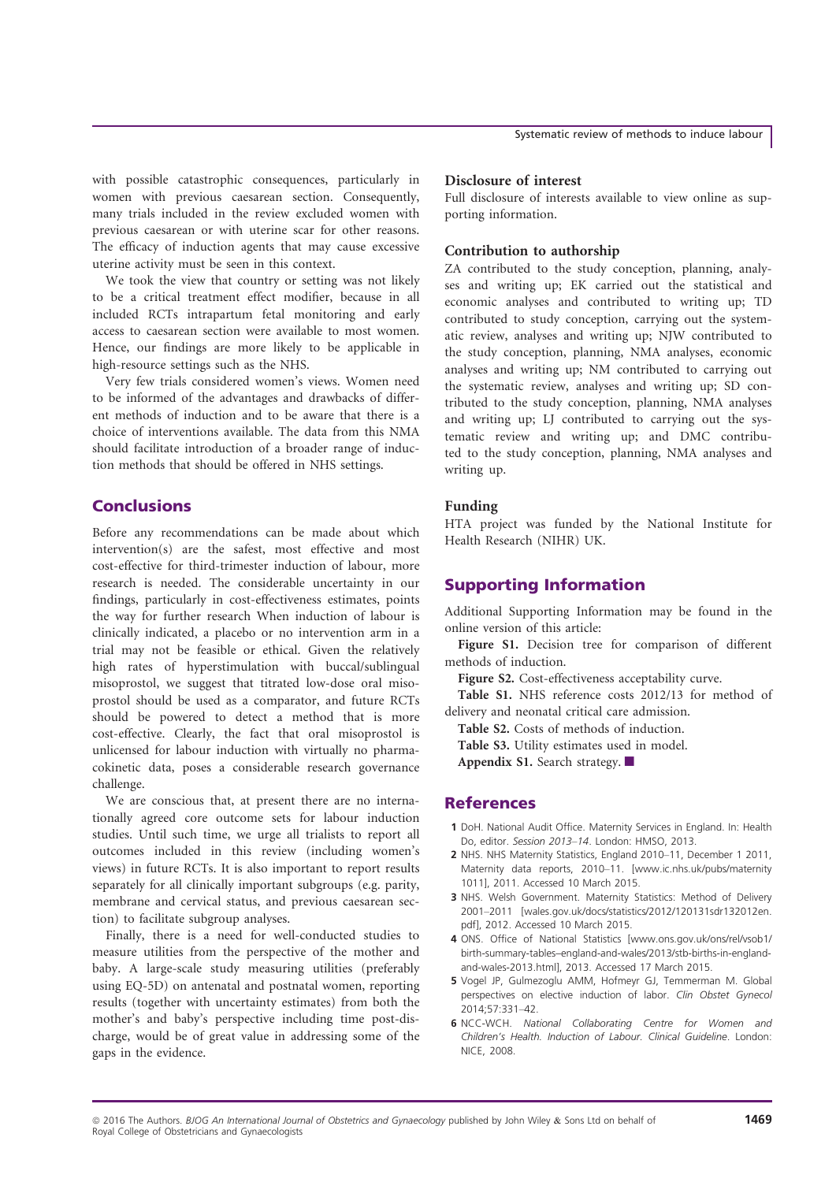with possible catastrophic consequences, particularly in women with previous caesarean section. Consequently, many trials included in the review excluded women with previous caesarean or with uterine scar for other reasons. The efficacy of induction agents that may cause excessive uterine activity must be seen in this context.

We took the view that country or setting was not likely to be a critical treatment effect modifier, because in all included RCTs intrapartum fetal monitoring and early access to caesarean section were available to most women. Hence, our findings are more likely to be applicable in high-resource settings such as the NHS.

Very few trials considered women's views. Women need to be informed of the advantages and drawbacks of different methods of induction and to be aware that there is a choice of interventions available. The data from this NMA should facilitate introduction of a broader range of induction methods that should be offered in NHS settings.

# **Conclusions**

Before any recommendations can be made about which intervention(s) are the safest, most effective and most cost-effective for third-trimester induction of labour, more research is needed. The considerable uncertainty in our findings, particularly in cost-effectiveness estimates, points the way for further research When induction of labour is clinically indicated, a placebo or no intervention arm in a trial may not be feasible or ethical. Given the relatively high rates of hyperstimulation with buccal/sublingual misoprostol, we suggest that titrated low-dose oral misoprostol should be used as a comparator, and future RCTs should be powered to detect a method that is more cost-effective. Clearly, the fact that oral misoprostol is unlicensed for labour induction with virtually no pharmacokinetic data, poses a considerable research governance challenge.

We are conscious that, at present there are no internationally agreed core outcome sets for labour induction studies. Until such time, we urge all trialists to report all outcomes included in this review (including women's views) in future RCTs. It is also important to report results separately for all clinically important subgroups (e.g. parity, membrane and cervical status, and previous caesarean section) to facilitate subgroup analyses.

Finally, there is a need for well-conducted studies to measure utilities from the perspective of the mother and baby. A large-scale study measuring utilities (preferably using EQ-5D) on antenatal and postnatal women, reporting results (together with uncertainty estimates) from both the mother's and baby's perspective including time post-discharge, would be of great value in addressing some of the gaps in the evidence.

## Disclosure of interest

Full disclosure of interests available to view online as supporting information.

# Contribution to authorship

ZA contributed to the study conception, planning, analyses and writing up; EK carried out the statistical and economic analyses and contributed to writing up; TD contributed to study conception, carrying out the systematic review, analyses and writing up; NJW contributed to the study conception, planning, NMA analyses, economic analyses and writing up; NM contributed to carrying out the systematic review, analyses and writing up; SD contributed to the study conception, planning, NMA analyses and writing up; LJ contributed to carrying out the systematic review and writing up; and DMC contributed to the study conception, planning, NMA analyses and writing up.

# Funding

HTA project was funded by the National Institute for Health Research (NIHR) UK.

# Supporting Information

Additional Supporting Information may be found in the online version of this article:

Figure S1. Decision tree for comparison of different methods of induction.

Figure S2. Cost-effectiveness acceptability curve.

Table S1. NHS reference costs 2012/13 for method of delivery and neonatal critical care admission.

Table S2. Costs of methods of induction.

Table S3. Utility estimates used in model.

Appendix S1. Search strategy.

# References

- 1 DoH. National Audit Office. Maternity Services in England. In: Health Do, editor. Session 2013–14. London: HMSO, 2013.
- 2 NHS. NHS Maternity Statistics, England 2010–11, December 1 2011, Maternity data reports, 2010–11. [\[www.ic.nhs.uk/pubs/maternity](http://www.ic.nhs.uk/pubs/maternity1011) [1011\]](http://www.ic.nhs.uk/pubs/maternity1011), 2011. Accessed 10 March 2015.
- 3 NHS. Welsh Government. Maternity Statistics: Method of Delivery 2001–2011 [wales.gov.uk/docs/statistics/2012/120131sdr132012en. pdf], 2012. Accessed 10 March 2015.
- 4 ONS. Office of National Statistics [\[www.ons.gov.uk/ons/rel/vsob1/](http://www.ons.gov.uk/ons/rel/vsob1/birth-summary-tables%e2%80%93england-and-wales/2013/stb-births-in-england-and-wales-2013.html) [birth-summary-tables–england-and-wales/2013/stb-births-in-england](http://www.ons.gov.uk/ons/rel/vsob1/birth-summary-tables%e2%80%93england-and-wales/2013/stb-births-in-england-and-wales-2013.html)[and-wales-2013.html](http://www.ons.gov.uk/ons/rel/vsob1/birth-summary-tables%e2%80%93england-and-wales/2013/stb-births-in-england-and-wales-2013.html)], 2013. Accessed 17 March 2015.
- 5 Vogel JP, Gulmezoglu AMM, Hofmeyr GJ, Temmerman M. Global perspectives on elective induction of labor. Clin Obstet Gynecol 2014;57:331–42.
- 6 NCC-WCH. National Collaborating Centre for Women and Children's Health. Induction of Labour. Clinical Guideline. London: NICE, 2008.